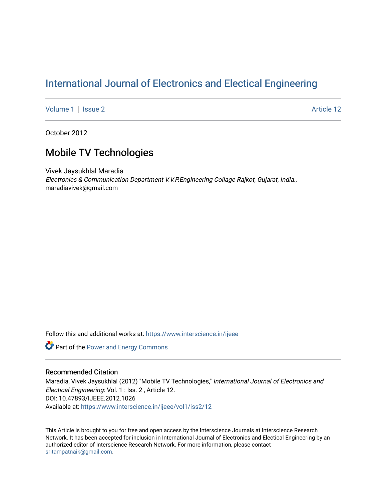# [International Journal of Electronics and Electical Engineering](https://www.interscience.in/ijeee)

[Volume 1](https://www.interscience.in/ijeee/vol1) | [Issue 2](https://www.interscience.in/ijeee/vol1/iss2) Article 12

October 2012

## Mobile TV Technologies

Vivek Jaysukhlal Maradia Electronics & Communication Department V.V.P.Engineering Collage Rajkot, Gujarat, India., maradiavivek@gmail.com

Follow this and additional works at: [https://www.interscience.in/ijeee](https://www.interscience.in/ijeee?utm_source=www.interscience.in%2Fijeee%2Fvol1%2Fiss2%2F12&utm_medium=PDF&utm_campaign=PDFCoverPages)

**Part of the Power and Energy Commons** 

## Recommended Citation

Maradia, Vivek Jaysukhlal (2012) "Mobile TV Technologies," International Journal of Electronics and Electical Engineering: Vol. 1 : Iss. 2 , Article 12. DOI: 10.47893/IJEEE.2012.1026 Available at: [https://www.interscience.in/ijeee/vol1/iss2/12](https://www.interscience.in/ijeee/vol1/iss2/12?utm_source=www.interscience.in%2Fijeee%2Fvol1%2Fiss2%2F12&utm_medium=PDF&utm_campaign=PDFCoverPages)

This Article is brought to you for free and open access by the Interscience Journals at Interscience Research Network. It has been accepted for inclusion in International Journal of Electronics and Electical Engineering by an authorized editor of Interscience Research Network. For more information, please contact [sritampatnaik@gmail.com](mailto:sritampatnaik@gmail.com).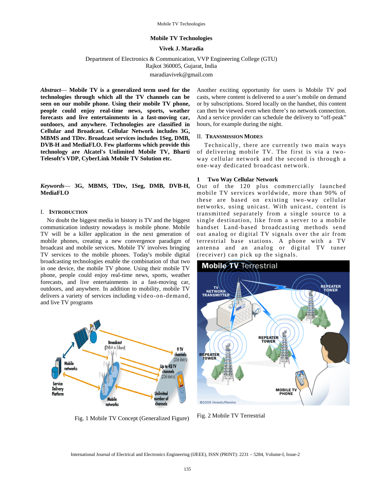#### **Mobile TV Technologies**

#### **Vivek J. Maradia**

Department of Electronics & Communication, VVP Engineering College (GTU)

Rajkot 360005, Gujarat, India

maradiavivek@gmail.com

*Abstract*— **Mobile TV is a generalized term used for the technologies through which all the TV channels can be seen on our mobile phone. Using their mobile TV phone, people could enjoy real-time news, sports, weather forecasts and live entertainments in a fast-moving car, outdoors, and anywhere. Technologies are classified in Cellular and Broadcast. Cellular Network includes 3G, MBMS and TDtv. Broadcast services includes 1Seg, DMB, DVB-H and MediaFLO. Few platforms which provide this technology are Alcatel's Unlimited Mobile TV, Bharti Telesoft's VDP, CyberLink Mobile TV Solution etc.** 

*Keywords*— **3G, MBMS, TDtv, 1Seg, DMB, DVB-H, MediaFLO** 

#### I. **INTRODUCTION**

No doubt the biggest media in history is TV and the biggest communication industry nowadays is mobile phone. Mobile TV will be a killer application in the next generation of mobile phones, creating a new convergence paradigm of broadcast and mobile services. Mobile TV involves bringing TV services to the mobile phones. Today's mobile digital broadcasting technologies enable the combination of that two in one device, the mobile TV phone. Using their mobile TV phone, people could enjoy real-time news, sports, weather forecasts, and live entertainments in a fast-moving car, outdoors, and anywhere. In addition to mobility, mobile TV delivers a variety of services including video-on-demand, and live TV programs



Fig. 1 Mobile TV Concept (Generalized Figure)

Another exciting opportunity for users is Mobile TV pod casts, where content is delivered to a user's mobile on demand or by subscriptions. Stored locally on the handset, this content can then be viewed even when there's no network connection. And a service provider can schedule the delivery to "off-peak" hours, for example during the night.

#### II. **TRANSMISSION MODES**

 Technically, there are currently two main ways of delivering mobile TV. The first is via a twoway cellular network and the second is through a one-way dedicated broadcast network.

#### **1 Two Way Cellular Network**

Out of the 120 plus commercially launched mobile TV services worldwide, more than 90% of these are based on existing two-way cellular networks, using unicast. With unicast, content is transmitted separately from a single source to a single destination, like from a server to a mobile handset Land-based broadcasting methods send out analog or digital TV signals over the air from terrestrial base stations. A phone with a TV antenna and an analog or digital TV tuner (receiver) can pick up the signals.



Fig. 2 Mobile TV Terrestrial

International Journal of Electrical and Electronics Engineering (IJEEE), ISSN (PRINT): 2231 – 5284, Volume-I, Issue-2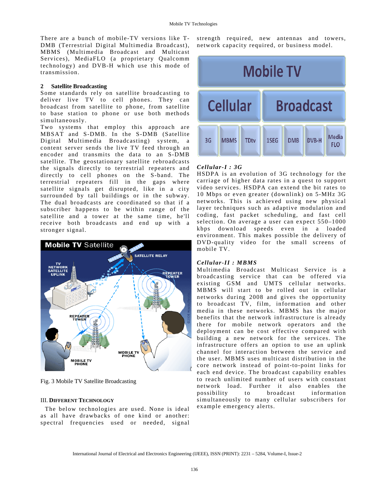There are a bunch of mobile-TV versions like T-DMB (Terrestrial Digital Multimedia Broadcast), MBMS (Multimedia Broadcast and Multicast Services), MediaFLO (a proprietary Qualcomm technology) and DVB-H which use this mode of transmission.

#### **2 Satellite Broadcasting**

Some standards rely on satellite broadcasting to deliver live TV to cell phones. They can broadcast from satellite to phone, from satellite to base station to phone or use both methods simultaneously.

Two systems that employ this approach are MBSAT and S-DMB. In the S-DMB (Satellite Digital Multimedia Broadcasting) system, a content server sends the live TV feed through an encoder and transmits the data to an S-DMB satellite. The geostationary satellite rebroadcasts the signals directly to terrestrial repeaters and directly to cell phones on the S-band. The terrestrial repeaters fill in the gaps where satellite signals get disrupted, like in a city surrounded by tall buildings or in the subway. The dual broadcasts are coordinated so that if a subscriber happens to be within range of the satellite and a tower at the same time, he'll receive both broadcasts and end up with a stronger signal.



Fig. 3 Mobile TV Satellite Broadcasting

#### III. **DIFFERENT TECHNOLOGY**

 The below technologies are used. None is ideal as all have drawbacks of one kind or another: spectral frequencies used or needed, signal strength required, new antennas and towers, network capacity required, or business model.



#### *Cellular-I : 3G*

HSDPA is an evolution of 3G technology for the carriage of higher data rates in a quest to support video services. HSDPA can extend the bit rates to 10 Mbps or even greater (downlink) on 5-MHz 3G networks. This is achieved using new physical layer techniques such as adaptive modulation and coding, fast packet scheduling, and fast cell selection. On average a user can expect 550–1000 kbps download speeds even in a loaded environment. This makes possible the delivery of DVD-quality video for the small screens of mobile TV.

## *Cellular-II : MBMS*

Multimedia Broadcast Multicast Service is a broadcasting service that can be offered via existing GSM and UMTS cellular networks. MBMS will start to be rolled out in cellular networks during 2008 and gives the opportunity to broadcast TV, film, information and other media in these networks. MBMS has the major benefits that the network infrastructure is already there for mobile network operators and the deployment can be cost effective compared with building a new network for the services. The infrastructure offers an option to use an uplink channel for interaction between the service and the user. MBMS uses multicast distribution in the core network instead of point-to-point links for each end device. The broadcast capability enables to reach unlimited number of users with constant network load. Further it also enables the possibility to broadcast information simultaneously to many cellular subscribers for example emergency alerts.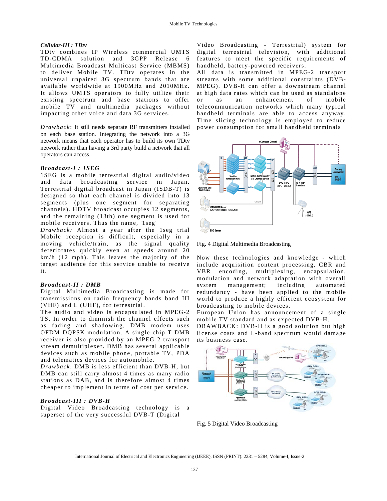#### *Cellular-III : TDtv*

TDtv combines IP Wireless commercial UMTS TD-CDMA solution and 3GPP Release 6 Multimedia Broadcast Multicast Service (MBMS) to deliver Mobile TV. TDtv operates in the universal unpaired 3G spectrum bands that are available worldwide at 1900MHz and 2010MHz. It allows UMTS operators to fully utilize their existing spectrum and base stations to offer mobile TV and multimedia packages without impacting other voice and data 3G services.

*Drawback*: It still needs separate RF transmitters installed on each base station. Integrating the network into a 3G network means that each operator has to build its own TDtv network rather than having a 3rd party build a network that all operators can access.

#### *Broadcast-I : 1SEG*

1SEG is a mobile terrestrial digital audio/video and data broadcasting service in Japan. Terrestrial digital broadcast in Japan (ISDB-T) is designed so that each channel is divided into 13 segments (plus one segment for separating channels). HDTV broadcast occupies 12 segments, and the remaining (13th) one segment is used for mobile receivers. Thus the name, '1seg'

*Drawback:* Almost a year after the 1seg trial Mobile reception is difficult, especially in a moving vehicle/train, as the signal quality deteriorates quickly even at speeds around 20 km/h (12 mph). This leaves the majority of the target audience for this service unable to receive it.

#### *Broadcast-II : DMB*

Digital Multimedia Broadcasting is made for transmissions on radio frequency bands band III (VHF) and L (UHF), for terrestrial.

The audio and video is encapsulated in MPEG-2 TS. In order to diminish the channel effects such as fading and shadowing, DMB modem uses OFDM-DQPSK modulation. A single-chip T-DMB receiver is also provided by an MPEG-2 transport stream demultiplexer. DMB has several applicable devices such as mobile phone, portable TV, PDA and telematics devices for automobile.

*Drawback*: DMB is less efficient than DVB-H, but DMB can still carry almost 4 times as many radio stations as DAB, and is therefore almost 4 times cheaper to implement in terms of cost per service.

#### *Broadcast-III : DVB-H*

Digital Video Broadcasting technology is a superset of the very successful DVB-T (Digital

Video Broadcasting - Terrestrial) system for digital terrestrial television, with additional features to meet the specific requirements of handheld, battery-powered receivers.

All data is transmitted in MPEG-2 transport streams with some additional constraints (DVB-MPEG). DVB-H can offer a downstream channel at high data rates which can be used as standalone or as an enhancement of mobile telecommunication networks which many typical handheld terminals are able to access anyway. Time slicing technology is employed to reduce power consumption for small handheld terminals

![](_page_3_Figure_15.jpeg)

Fig. 4 Digital Multimedia Broadcasting

Now these technologies and knowledge - which include acquisition content processing, CBR and VBR encoding, multiplexing, encapsulation, modulation and network adaptation with overall system management; including automated redundancy - have been applied to the mobile world to produce a highly efficient ecosystem for broadcasting to mobile devices.

European Union has announcement of a single mobile TV standard and as expected DVB-H.

DRAWBACK: DVB-H is a good solution but high license costs and L-band spectrum would damage its business case.

![](_page_3_Figure_20.jpeg)

Fig. 5 Digital Video Broadcasting

International Journal of Electrical and Electronics Engineering (IJEEE), ISSN (PRINT): 2231 – 5284, Volume-I, Issue-2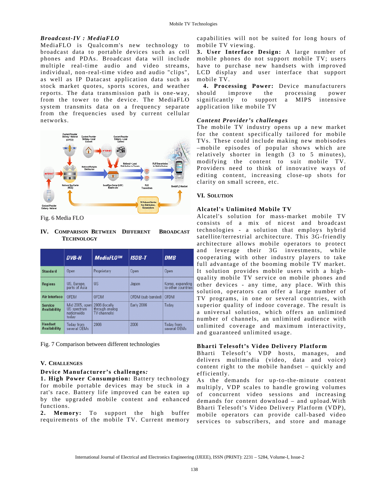## *Broadcast-IV : MediaFLO*

MediaFLO is Qualcomm's new technology to broadcast data to portable devices such as cell phones and PDAs. Broadcast data will include multiple real-time audio and video streams, individual, non-real-time video and audio "clips", as well as IP Datacast application data such as stock market quotes, sports scores, and weather reports. The data transmission path is one-way, from the tower to the device. The MediaFLO system transmits data on a frequency separate from the frequencies used by current cellular networks.

![](_page_4_Picture_3.jpeg)

Fig. 6 Media FLO

## **IV. COMPARISON BETWEEN DIFFERENT BROADCAST TECHNOLOGY**

|                                       | DVB-H                                                | MediaFL0™                                       | <b>ISDB-T</b>            | <b>DMB</b>                             |
|---------------------------------------|------------------------------------------------------|-------------------------------------------------|--------------------------|----------------------------------------|
| <b>Standard</b>                       | Open                                                 | Proprietary                                     | Open                     | Open                                   |
| <b>Regions</b>                        | US, Europe,<br>parts of Asia                         | <b>US</b>                                       | Japan                    | Korea, expanding<br>to other countries |
| <b>Air Interface</b>                  | <b>OFDM</b>                                          | <b>OFDM</b>                                     | OFDM (sub-banded)   OFDM |                                        |
| <b>Service</b><br><b>Availability</b> | Mid 2005, open<br>US spectrum<br>nationwide<br>todav | 2006 (locally<br>through analog<br>TV channels) | <b>Early 2006</b>        | Today                                  |
| <b>Handset</b><br><b>Availability</b> | <b>Today from</b><br>several OEMs                    | 2006                                            | 2006                     | <b>Today from</b><br>several OEMs      |

Fig. 7 Comparison between different technologies

## **V. CHALLENGES**

## **Device Manufacturer's challenges***:*

**1. High Power Consumption:** Battery technology for mobile portable devices may be stuck in a rat's race. Battery life improved can be eaten up by the upgraded mobile content and enhanced functions.

**2. Memory:** To support the high buffer requirements of the mobile TV. Current memory capabilities will not be suited for long hours of mobile TV viewing.

**3. User Interface Design:** A large number of mobile phones do not support mobile TV; users have to purchase new handsets with improved LCD display and user interface that support mobile TV.

**4. Processing Power:** Device manufacturers should improve the processing power significantly to support a MIPS intensive application like mobile TV

## *Content Provider's challenges*

The mobile TV industry opens up a new market for the content specifically tailored for mobile TVs. These could include making new mobisodes –mobile episodes of popular shows which are relatively shorter in length (3 to 5 minutes), modifying the content to suit mobile TV. Providers need to think of innovative ways of editing content, increasing close-up shots for clarity on small screen, etc.

## **VI. SOLUTION**

## **Alcatel's Unlimited Mobile TV**

Alcatel's solution for mass-market mobile TV consists of a mix of nicest and broadcast technologies - a solution that employs hybrid satellite/terrestrial architecture. This 3G-friendly architecture allows mobile operators to protect and leverage their 3G investments, while cooperating with other industry players to take full advantage of the booming mobile TV market. It solution provides mobile users with a highquality mobile TV service on mobile phones and other devices - any time, any place. With this solution, operators can offer a large number of TV programs, in one or several countries, with superior quality of indoor coverage. The result is a universal solution, which offers an unlimited number of channels, an unlimited audience with unlimited coverage and maximum interactivity, and guaranteed unlimited usage.

## **Bharti Telesoft's Video Delivery Platform**

Bharti Telesoft's VDP hosts, manages, and delivers multimedia (video, data and voice) content right to the mobile handset – quickly and efficiently.

As the demands for up-to-the-minute content multiply, VDP scales to handle growing volumes of concurrent video sessions and increasing demands for content download – and upload.With Bharti Telesoft's Video Delivery Platform (VDP), mobile operators can provide call-based video services to subscribers, and store and manage